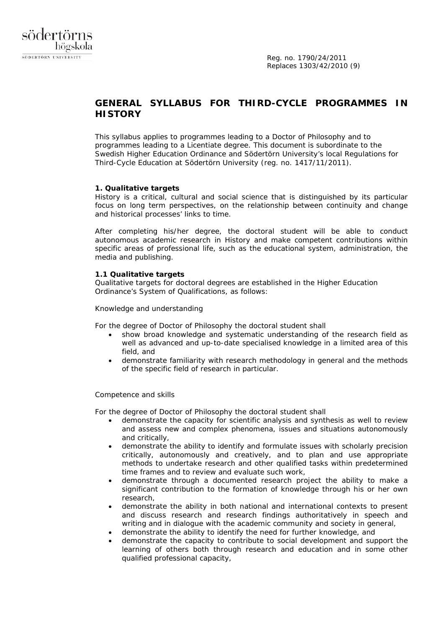

# **GENERAL SYLLABUS FOR THIRD-CYCLE PROGRAMMES IN HISTORY**

This syllabus applies to programmes leading to a Doctor of Philosophy and to programmes leading to a Licentiate degree. This document is subordinate to the Swedish Higher Education Ordinance and Södertörn University's local *Regulations for Third-Cycle Education at Södertörn University* (reg. no. 1417/11/2011).

### **1. Qualitative targets**

History is a critical, cultural and social science that is distinguished by its particular focus on long term perspectives, on the relationship between continuity and change and historical processes' links to time.

After completing his/her degree, the doctoral student will be able to conduct autonomous academic research in History and make competent contributions within specific areas of professional life, such as the educational system, administration, the media and publishing.

# **1.1 Qualitative targets**

Qualitative targets for doctoral degrees are established in the Higher Education Ordinance's System of Qualifications, as follows:

*Knowledge and understanding*

For the degree of Doctor of Philosophy the doctoral student shall

- show broad knowledge and systematic understanding of the research field as well as advanced and up-to-date specialised knowledge in a limited area of this field, and
- demonstrate familiarity with research methodology in general and the methods of the specific field of research in particular.

### *Competence and skills*

For the degree of Doctor of Philosophy the doctoral student shall

- demonstrate the capacity for scientific analysis and synthesis as well to review and assess new and complex phenomena, issues and situations autonomously and critically,
- demonstrate the ability to identify and formulate issues with scholarly precision critically, autonomously and creatively, and to plan and use appropriate methods to undertake research and other qualified tasks within predetermined time frames and to review and evaluate such work,
- demonstrate through a documented research project the ability to make a significant contribution to the formation of knowledge through his or her own research,
- demonstrate the ability in both national and international contexts to present and discuss research and research findings authoritatively in speech and writing and in dialogue with the academic community and society in general,
- demonstrate the ability to identify the need for further knowledge, and
- demonstrate the capacity to contribute to social development and support the learning of others both through research and education and in some other qualified professional capacity,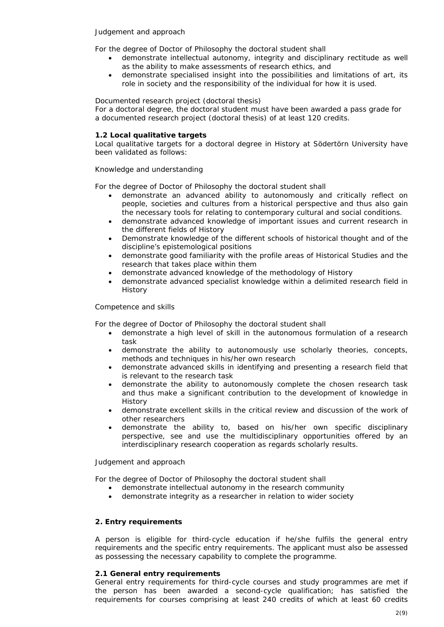## *Judgement and approach*

For the degree of Doctor of Philosophy the doctoral student shall

- demonstrate intellectual autonomy, integrity and disciplinary rectitude as well as the ability to make assessments of research ethics, and
- demonstrate specialised insight into the possibilities and limitations of art, its role in society and the responsibility of the individual for how it is used.

# *Documented research project (doctoral thesis)*

For a doctoral degree, the doctoral student must have been awarded a pass grade for a documented research project (doctoral thesis) of at least 120 credits.

# **1.2 Local qualitative targets**

Local qualitative targets for a doctoral degree in History at Södertörn University have been validated as follows:

# *Knowledge and understanding*

For the degree of Doctor of Philosophy the doctoral student shall

- demonstrate an advanced ability to autonomously and critically reflect on people, societies and cultures from a historical perspective and thus also gain the necessary tools for relating to contemporary cultural and social conditions.
- demonstrate advanced knowledge of important issues and current research in the different fields of History
- Demonstrate knowledge of the different schools of historical thought and of the discipline's epistemological positions
- demonstrate good familiarity with the profile areas of *Historical Studies* and the research that takes place within them
- demonstrate advanced knowledge of the methodology of History
- demonstrate advanced specialist knowledge within a delimited research field in History

### *Competence and skills*

For the degree of Doctor of Philosophy the doctoral student shall

- demonstrate a high level of skill in the autonomous formulation of a research task
- demonstrate the ability to autonomously use scholarly theories, concepts, methods and techniques in his/her own research
- demonstrate advanced skills in identifying and presenting a research field that is relevant to the research task
- demonstrate the ability to autonomously complete the chosen research task and thus make a significant contribution to the development of knowledge in **History**
- demonstrate excellent skills in the critical review and discussion of the work of other researchers
- demonstrate the ability to, based on his/her own specific disciplinary perspective, see and use the multidisciplinary opportunities offered by an interdisciplinary research cooperation as regards scholarly results.

### *Judgement and approach*

For the degree of Doctor of Philosophy the doctoral student shall

- demonstrate intellectual autonomy in the research community
- demonstrate integrity as a researcher in relation to wider society

# **2. Entry requirements**

A person is eligible for third-cycle education if he/she fulfils the general entry requirements and the specific entry requirements. The applicant must also be assessed as possessing the necessary capability to complete the programme.

### **2.1 General entry requirements**

General entry requirements for third-cycle courses and study programmes are met if the person has been awarded a second-cycle qualification; has satisfied the requirements for courses comprising at least 240 credits of which at least 60 credits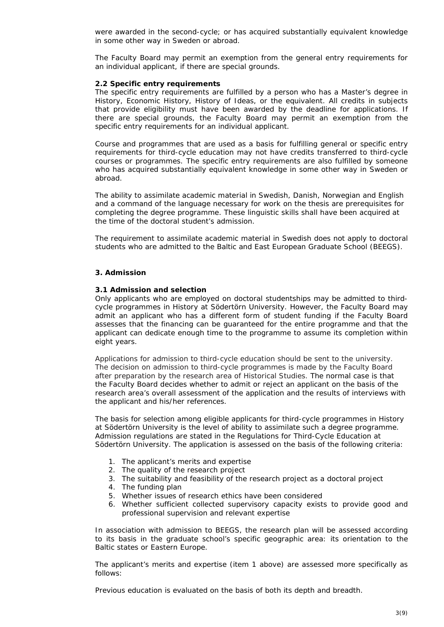were awarded in the second-cycle; or has acquired substantially equivalent knowledge in some other way in Sweden or abroad.

The Faculty Board may permit an exemption from the general entry requirements for an individual applicant, if there are special grounds.

# **2.2 Specific entry requirements**

The specific entry requirements are fulfilled by a person who has a Master's degree in History, Economic History, History of Ideas, or the equivalent. All credits in subjects that provide eligibility must have been awarded by the deadline for applications. If there are special grounds, the Faculty Board may permit an exemption from the specific entry requirements for an individual applicant.

Course and programmes that are used as a basis for fulfilling general or specific entry requirements for third-cycle education may not have credits transferred to third-cycle courses or programmes. The specific entry requirements are also fulfilled by someone who has acquired substantially equivalent knowledge in some other way in Sweden or abroad.

The ability to assimilate academic material in Swedish, Danish, Norwegian and English and a command of the language necessary for work on the thesis are prerequisites for completing the degree programme. These linguistic skills shall have been acquired at the time of the doctoral student's admission.

The requirement to assimilate academic material in Swedish does not apply to doctoral students who are admitted to the Baltic and East European Graduate School (BEEGS).

# **3. Admission**

### **3.1 Admission and selection**

Only applicants who are employed on doctoral studentships may be admitted to thirdcycle programmes in History at Södertörn University. However, the Faculty Board may admit an applicant who has a different form of student funding if the Faculty Board assesses that the financing can be guaranteed for the entire programme and that the applicant can dedicate enough time to the programme to assume its completion within eight years.

Applications for admission to third-cycle education should be sent to the university. The decision on admission to third-cycle programmes is made by the Faculty Board after preparation by the research area of *Historical Studies*. The normal case is that the Faculty Board decides whether to admit or reject an applicant on the basis of the research area's overall assessment of the application and the results of interviews with the applicant and his/her references.

The basis for selection among eligible applicants for third-cycle programmes in History at Södertörn University is the level of ability to assimilate such a degree programme. Admission regulations are stated in the Regulations *for Third-Cycle Education at Södertörn University*. The application is assessed on the basis of the following criteria:

- 1. The applicant's merits and expertise
- 2. The quality of the research project
- 3. The suitability and feasibility of the research project as a doctoral project
- 4. The funding plan
- 5. Whether issues of research ethics have been considered
- 6. Whether sufficient collected supervisory capacity exists to provide good and professional supervision and relevant expertise

In association with admission to BEEGS, the research plan will be assessed according to its basis in the graduate school's specific geographic area: its orientation to the Baltic states or Eastern Europe.

The applicant's merits and expertise (item 1 above) are assessed more specifically as follows:

Previous education is evaluated on the basis of both its depth and breadth.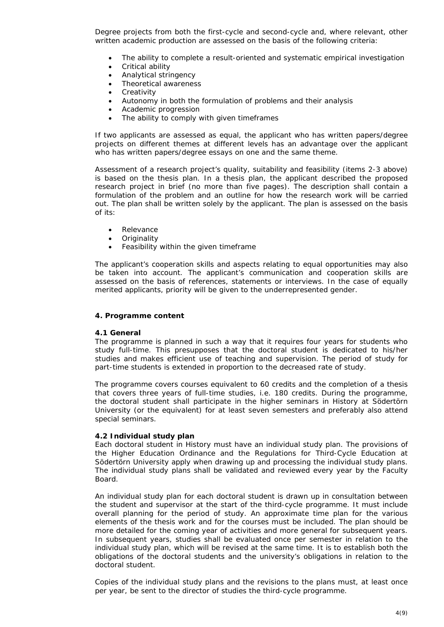Degree projects from both the first-cycle and second-cycle and, where relevant, other written academic production are assessed on the basis of the following criteria:

- The ability to complete a result-oriented and systematic empirical investigation
- Critical ability
- Analytical stringency
- Theoretical awareness
- **Creativity**
- Autonomy in both the formulation of problems and their analysis
- Academic progression
- The ability to comply with given timeframes

If two applicants are assessed as equal, the applicant who has written papers/degree projects on different themes at different levels has an advantage over the applicant who has written papers/degree essays on one and the same theme.

Assessment of a research project's quality, suitability and feasibility (items 2-3 above) is based on the thesis plan. In a thesis plan, the applicant described the proposed research project in brief (no more than five pages). The description shall contain a formulation of the problem and an outline for how the research work will be carried out. The plan shall be written solely by the applicant. The plan is assessed on the basis of its:

- Relevance
- Originality
- Feasibility within the given timeframe

The applicant's cooperation skills and aspects relating to equal opportunities may also be taken into account. The applicant's communication and cooperation skills are assessed on the basis of references, statements or interviews. In the case of equally merited applicants, priority will be given to the underrepresented gender.

# **4. Programme content**

### **4.1 General**

The programme is planned in such a way that it requires four years for students who study full-time. This presupposes that the doctoral student is dedicated to his/her studies and makes efficient use of teaching and supervision. The period of study for part-time students is extended in proportion to the decreased rate of study.

The programme covers courses equivalent to 60 credits and the completion of a thesis that covers three years of full-time studies, i.e. 180 credits. During the programme, the doctoral student shall participate in the higher seminars in History at Södertörn University (or the equivalent) for at least seven semesters and preferably also attend special seminars.

### **4.2 Individual study plan**

Each doctoral student in History must have an individual study plan. The provisions of the Higher Education Ordinance and the *Regulations for Third-Cycle Education at Södertörn University* apply when drawing up and processing the individual study plans. The individual study plans shall be validated and reviewed every year by the Faculty Board.

An individual study plan for each doctoral student is drawn up in consultation between the student and supervisor at the start of the third-cycle programme. It must include overall planning for the period of study. An approximate time plan for the various elements of the thesis work and for the courses must be included. The plan should be more detailed for the coming year of activities and more general for subsequent years. In subsequent years, studies shall be evaluated once per semester in relation to the individual study plan, which will be revised at the same time. It is to establish both the obligations of the doctoral students and the university's obligations in relation to the doctoral student.

Copies of the individual study plans and the revisions to the plans must, at least once per year, be sent to the director of studies the third-cycle programme.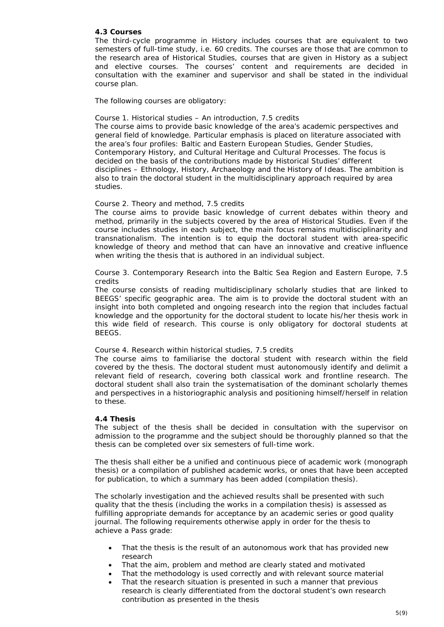# **4.3 Courses**

The third-cycle programme in History includes courses that are equivalent to two semesters of full-time study, i.e. 60 credits. The courses are those that are common to the research area of *Historical Studies*, courses that are given in History as a subject and elective courses. The courses' content and requirements are decided in consultation with the examiner and supervisor and shall be stated in the individual course plan.

The following courses are obligatory:

#### *Course 1. Historical studies – An introduction, 7.5 credits*

The course aims to provide basic knowledge of the area's academic perspectives and general field of knowledge. Particular emphasis is placed on literature associated with the area's four profiles: Baltic and Eastern European Studies, Gender Studies, Contemporary History, and Cultural Heritage and Cultural Processes. The focus is decided on the basis of the contributions made by *Historical Studies*' different disciplines – Ethnology, History, Archaeology and the History of Ideas. The ambition is also to train the doctoral student in the multidisciplinary approach required by area studies.

#### *Course 2. Theory and method, 7.5 credits*

The course aims to provide basic knowledge of current debates within theory and method, primarily in the subjects covered by the area of *Historical Studies*. Even if the course includes studies in each subject, the main focus remains multidisciplinarity and transnationalism. The intention is to equip the doctoral student with area-specific knowledge of theory and method that can have an innovative and creative influence when writing the thesis that is authored in an individual subject.

### *Course 3. Contemporary Research into the Baltic Sea Region and Eastern Europe, 7.5 credits*

The course consists of reading multidisciplinary scholarly studies that are linked to BEEGS' specific geographic area. The aim is to provide the doctoral student with an insight into both completed and ongoing research into the region that includes factual knowledge and the opportunity for the doctoral student to locate his/her thesis work in this wide field of research. This course is only obligatory for doctoral students at BEEGS.

#### *Course 4. Research within historical studies, 7.5 credits*

The course aims to familiarise the doctoral student with research within the field covered by the thesis. The doctoral student must autonomously identify and delimit a relevant field of research, covering both classical work and frontline research. The doctoral student shall also train the systematisation of the dominant scholarly themes and perspectives in a historiographic analysis and positioning himself/herself in relation to these.

### **4.4 Thesis**

The subject of the thesis shall be decided in consultation with the supervisor on admission to the programme and the subject should be thoroughly planned so that the thesis can be completed over six semesters of full-time work.

The thesis shall either be a unified and continuous piece of academic work (monograph thesis) or a compilation of published academic works, or ones that have been accepted for publication, to which a summary has been added (compilation thesis).

The scholarly investigation and the achieved results shall be presented with such quality that the thesis (including the works in a compilation thesis) is assessed as fulfilling appropriate demands for acceptance by an academic series or good quality journal. The following requirements otherwise apply in order for the thesis to achieve a Pass grade:

- That the thesis is the result of an autonomous work that has provided new research
- That the aim, problem and method are clearly stated and motivated
- That the methodology is used correctly and with relevant source material
- That the research situation is presented in such a manner that previous research is clearly differentiated from the doctoral student's own research contribution as presented in the thesis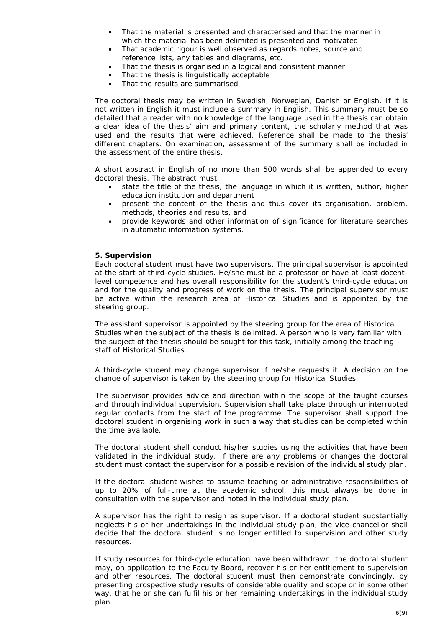- That the material is presented and characterised and that the manner in which the material has been delimited is presented and motivated
- That academic rigour is well observed as regards notes, source and reference lists, any tables and diagrams, etc.
- That the thesis is organised in a logical and consistent manner
- That the thesis is linguistically acceptable
- That the results are summarised

The doctoral thesis may be written in Swedish, Norwegian, Danish or English. If it is not written in English it must include a summary in English. This summary must be so detailed that a reader with no knowledge of the language used in the thesis can obtain a clear idea of the thesis' aim and primary content, the scholarly method that was used and the results that were achieved. Reference shall be made to the thesis' different chapters. On examination, assessment of the summary shall be included in the assessment of the entire thesis.

A short abstract in English of no more than 500 words shall be appended to every doctoral thesis. The abstract must:

- state the title of the thesis, the language in which it is written, author, higher education institution and department
- present the content of the thesis and thus cover its organisation, problem, methods, theories and results, and
- provide keywords and other information of significance for literature searches in automatic information systems.

### **5. Supervision**

Each doctoral student must have two supervisors. The principal supervisor is appointed at the start of third-cycle studies. He/she must be a professor or have at least docentlevel competence and has overall responsibility for the student's third-cycle education and for the quality and progress of work on the thesis. The principal supervisor must be active within the research area of *Historical Studies* and is appointed by the steering group.

The assistant supervisor is appointed by the steering group for the area of *Historical Studies* when the subject of the thesis is delimited. A person who is very familiar with the subject of the thesis should be sought for this task, initially among the teaching staff of *Historical Studies*.

A third-cycle student may change supervisor if he/she requests it. A decision on the change of supervisor is taken by the steering group for *Historical Studies.*

The supervisor provides advice and direction within the scope of the taught courses and through individual supervision. Supervision shall take place through uninterrupted regular contacts from the start of the programme. The supervisor shall support the doctoral student in organising work in such a way that studies can be completed within the time available.

The doctoral student shall conduct his/her studies using the activities that have been validated in the individual study. If there are any problems or changes the doctoral student must contact the supervisor for a possible revision of the individual study plan.

If the doctoral student wishes to assume teaching or administrative responsibilities of up to 20% of full-time at the academic school, this must always be done in consultation with the supervisor and noted in the individual study plan.

A supervisor has the right to resign as supervisor. If a doctoral student substantially neglects his or her undertakings in the individual study plan, the vice-chancellor shall decide that the doctoral student is no longer entitled to supervision and other study resources.

If study resources for third-cycle education have been withdrawn, the doctoral student may, on application to the Faculty Board, recover his or her entitlement to supervision and other resources. The doctoral student must then demonstrate convincingly, by presenting prospective study results of considerable quality and scope or in some other way, that he or she can fulfil his or her remaining undertakings in the individual study plan.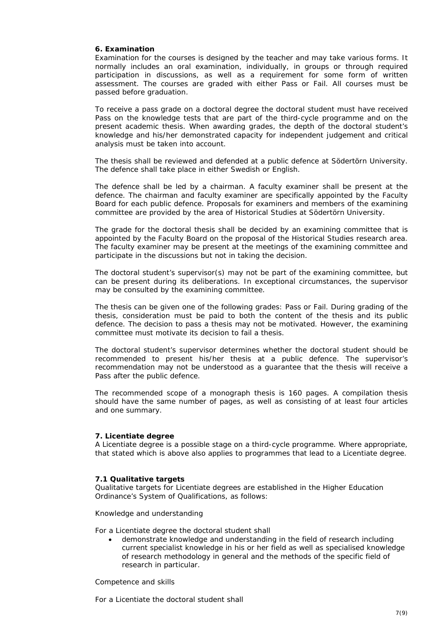# **6. Examination**

Examination for the courses is designed by the teacher and may take various forms. It normally includes an oral examination, individually, in groups or through required participation in discussions, as well as a requirement for some form of written assessment. The courses are graded with either Pass or Fail. All courses must be passed before graduation.

To receive a pass grade on a doctoral degree the doctoral student must have received Pass on the knowledge tests that are part of the third-cycle programme and on the present academic thesis. When awarding grades, the depth of the doctoral student's knowledge and his/her demonstrated capacity for independent judgement and critical analysis must be taken into account.

The thesis shall be reviewed and defended at a public defence at Södertörn University. The defence shall take place in either Swedish or English.

The defence shall be led by a chairman. A faculty examiner shall be present at the defence. The chairman and faculty examiner are specifically appointed by the Faculty Board for each public defence. Proposals for examiners and members of the examining committee are provided by the area of *Historical Studies* at Södertörn University.

The grade for the doctoral thesis shall be decided by an examining committee that is appointed by the Faculty Board on the proposal of the *Historical Studies* research area. The faculty examiner may be present at the meetings of the examining committee and participate in the discussions but not in taking the decision.

The doctoral student's supervisor(s) may not be part of the examining committee, but can be present during its deliberations. In exceptional circumstances, the supervisor may be consulted by the examining committee.

The thesis can be given one of the following grades: Pass or Fail. During grading of the thesis, consideration must be paid to both the content of the thesis and its public defence. The decision to pass a thesis may not be motivated. However, the examining committee must motivate its decision to fail a thesis.

The doctoral student's supervisor determines whether the doctoral student should be recommended to present his/her thesis at a public defence. The supervisor's recommendation may not be understood as a guarantee that the thesis will receive a Pass after the public defence.

The recommended scope of a monograph thesis is 160 pages. A compilation thesis should have the same number of pages, as well as consisting of at least four articles and one summary.

### **7. Licentiate degree**

A Licentiate degree is a possible stage on a third-cycle programme. Where appropriate, that stated which is above also applies to programmes that lead to a Licentiate degree.

### **7.1 Qualitative targets**

Qualitative targets for Licentiate degrees are established in the Higher Education Ordinance's System of Qualifications, as follows:

*Knowledge and understanding*

For a Licentiate degree the doctoral student shall

• demonstrate knowledge and understanding in the field of research including current specialist knowledge in his or her field as well as specialised knowledge of research methodology in general and the methods of the specific field of research in particular.

#### *Competence and skills*

For a Licentiate the doctoral student shall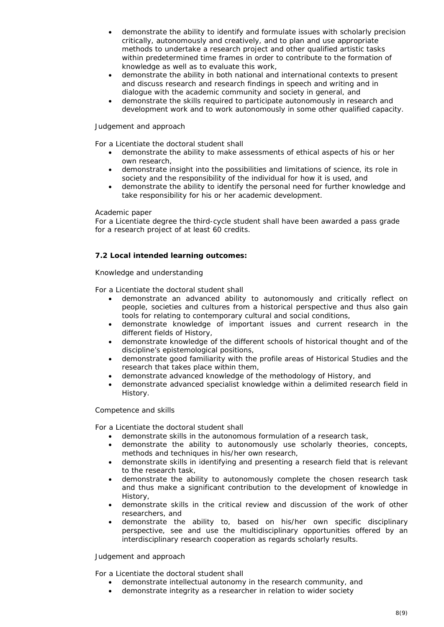- demonstrate the ability to identify and formulate issues with scholarly precision critically, autonomously and creatively, and to plan and use appropriate methods to undertake a research project and other qualified artistic tasks within predetermined time frames in order to contribute to the formation of knowledge as well as to evaluate this work,
- demonstrate the ability in both national and international contexts to present and discuss research and research findings in speech and writing and in dialogue with the academic community and society in general, and
- demonstrate the skills required to participate autonomously in research and development work and to work autonomously in some other qualified capacity.

# *Judgement and approach*

For a Licentiate the doctoral student shall

- demonstrate the ability to make assessments of ethical aspects of his or her own research,
- demonstrate insight into the possibilities and limitations of science, its role in society and the responsibility of the individual for how it is used, and
- demonstrate the ability to identify the personal need for further knowledge and take responsibility for his or her academic development.

### *Academic paper*

For a Licentiate degree the third-cycle student shall have been awarded a pass grade for a research project of at least 60 credits.

# **7.2 Local intended learning outcomes:**

# *Knowledge and understanding*

For a Licentiate the doctoral student shall

- demonstrate an advanced ability to autonomously and critically reflect on people, societies and cultures from a historical perspective and thus also gain tools for relating to contemporary cultural and social conditions,
- demonstrate knowledge of important issues and current research in the different fields of History,
- demonstrate knowledge of the different schools of historical thought and of the discipline's epistemological positions,
- demonstrate good familiarity with the profile areas of *Historical Studies* and the research that takes place within them,
- demonstrate advanced knowledge of the methodology of History, and
- demonstrate advanced specialist knowledge within a delimited research field in History.

# *Competence and skills*

For a Licentiate the doctoral student shall

- demonstrate skills in the autonomous formulation of a research task,
- demonstrate the ability to autonomously use scholarly theories, concepts, methods and techniques in his/her own research,
- demonstrate skills in identifying and presenting a research field that is relevant to the research task,
- demonstrate the ability to autonomously complete the chosen research task and thus make a significant contribution to the development of knowledge in History,
- demonstrate skills in the critical review and discussion of the work of other researchers, and
- demonstrate the ability to, based on his/her own specific disciplinary perspective, see and use the multidisciplinary opportunities offered by an interdisciplinary research cooperation as regards scholarly results.

# *Judgement and approach*

For a Licentiate the doctoral student shall

- demonstrate intellectual autonomy in the research community, and
- demonstrate integrity as a researcher in relation to wider society